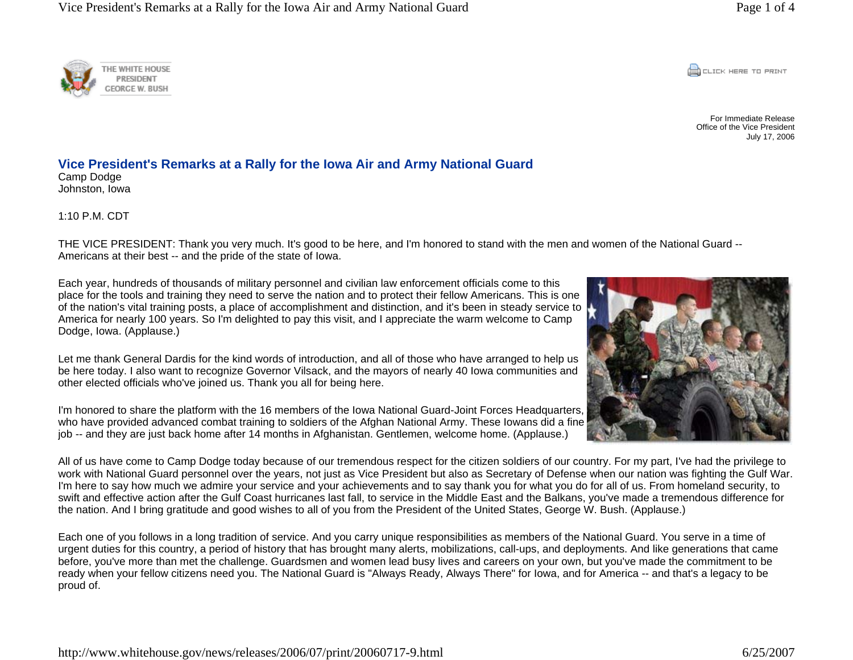**CONCRETE PRINT** 

For Immediate Release Office of the Vice President July 17, 2006



1:10 P.M. CDT

THE VICE PRESIDENT: Thank you very much. It's good to be here, and I'm honored to stand with the men and women of the National Guard -- Americans at their best -- and the pride of the state of Iowa.

Each year, hundreds of thousands of military personnel and civilian law enforcement officials come to this place for the tools and training they need to serve the nation and to protect their fellow Americans. This is one of the nation's vital training posts, a place of accomplishment and distinction, and it's been in steady service to America for nearly 100 years. So I'm delighted to pay this visit, and I appreciate the warm welcome to Camp Dodge, Iowa. (Applause.)

Let me thank General Dardis for the kind words of introduction, and all of those who have arranged to help us be here today. I also want to recognize Governor Vilsack, and the mayors of nearly 40 Iowa communities and other elected officials who've joined us. Thank you all for being here.

I'm honored to share the platform with the 16 members of the Iowa National Guard-Joint Forces Headquarters, who have provided advanced combat training to soldiers of the Afghan National Army. These Iowans did a fine job -- and they are just back home after 14 months in Afghanistan. Gentlemen, welcome home. (Applause.)

All of us have come to Camp Dodge today because of our tremendous respect for the citizen soldiers of our country. For my part, I've had the privilege to work with National Guard personnel over the years, not just as Vice President but also as Secretary of Defense when our nation was fighting the Gulf War. I'm here to say how much we admire your service and your achievements and to say thank you for what you do for all of us. From homeland security, to swift and effective action after the Gulf Coast hurricanes last fall, to service in the Middle East and the Balkans, you've made a tremendous difference for the nation. And I bring gratitude and good wishes to all of you from the President of the United States, George W. Bush. (Applause.)

Each one of you follows in a long tradition of service. And you carry unique responsibilities as members of the National Guard. You serve in a time of urgent duties for this country, a period of history that has brought many alerts, mobilizations, call-ups, and deployments. And like generations that came before, you've more than met the challenge. Guardsmen and women lead busy lives and careers on your own, but you've made the commitment to be ready when your fellow citizens need you. The National Guard is "Always Ready, Always There" for Iowa, and for America -- and that's a legacy to be proud of.



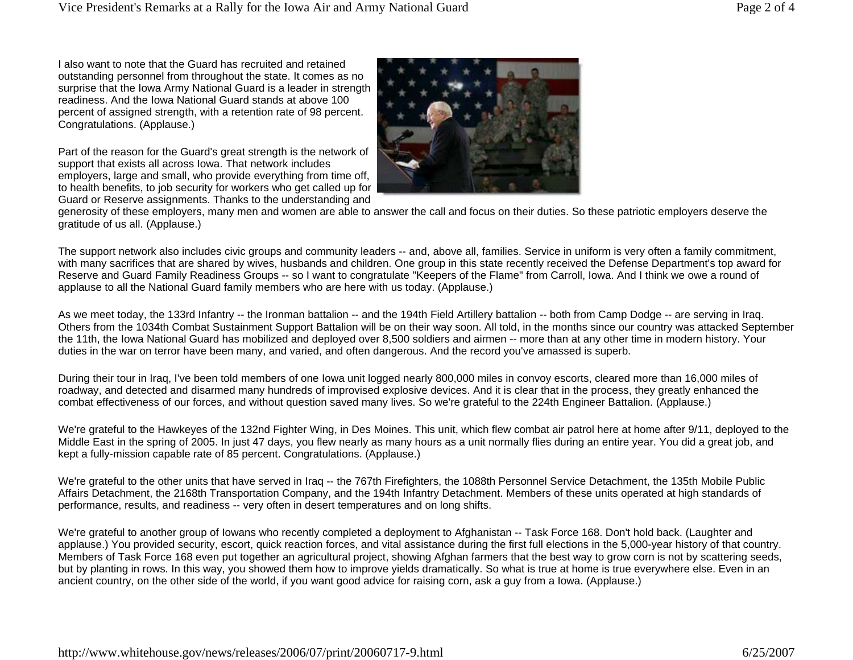I also want to note that the Guard has recruited and retained outstanding personnel from throughout the state. It comes as no surprise that the Iowa Army National Guard is a leader in strength readiness. And the Iowa National Guard stands at above 100 percent of assigned strength, with a retention rate of 98 percent. Congratulations. (Applause.)

Part of the reason for the Guard's great strength is the network of support that exists all across Iowa. That network includes employers, large and small, who provide everything from time off, to health benefits, to job security for workers who get called up for Guard or Reserve assignments. Thanks to the understanding and



generosity of these employers, many men and women are able to answer the call and focus on their duties. So these patriotic employers deserve the gratitude of us all. (Applause.)

The support network also includes civic groups and community leaders -- and, above all, families. Service in uniform is very often a family commitment, with many sacrifices that are shared by wives, husbands and children. One group in this state recently received the Defense Department's top award for Reserve and Guard Family Readiness Groups -- so I want to congratulate "Keepers of the Flame" from Carroll, Iowa. And I think we owe a round of applause to all the National Guard family members who are here with us today. (Applause.)

As we meet today, the 133rd Infantry -- the Ironman battalion -- and the 194th Field Artillery battalion -- both from Camp Dodge -- are serving in Iraq. Others from the 1034th Combat Sustainment Support Battalion will be on their way soon. All told, in the months since our country was attacked September the 11th, the Iowa National Guard has mobilized and deployed over 8,500 soldiers and airmen -- more than at any other time in modern history. Your duties in the war on terror have been many, and varied, and often dangerous. And the record you've amassed is superb.

During their tour in Iraq, I've been told members of one Iowa unit logged nearly 800,000 miles in convoy escorts, cleared more than 16,000 miles of roadway, and detected and disarmed many hundreds of improvised explosive devices. And it is clear that in the process, they greatly enhanced the combat effectiveness of our forces, and without question saved many lives. So we're grateful to the 224th Engineer Battalion. (Applause.)

We're grateful to the Hawkeyes of the 132nd Fighter Wing, in Des Moines. This unit, which flew combat air patrol here at home after 9/11, deployed to the Middle East in the spring of 2005. In just 47 days, you flew nearly as many hours as a unit normally flies during an entire year. You did a great job, and kept a fully-mission capable rate of 85 percent. Congratulations. (Applause.)

We're grateful to the other units that have served in Iraq -- the 767th Firefighters, the 1088th Personnel Service Detachment, the 135th Mobile Public Affairs Detachment, the 2168th Transportation Company, and the 194th Infantry Detachment. Members of these units operated at high standards of performance, results, and readiness -- very often in desert temperatures and on long shifts.

We're grateful to another group of Iowans who recently completed a deployment to Afghanistan -- Task Force 168. Don't hold back. (Laughter and applause.) You provided security, escort, quick reaction forces, and vital assistance during the first full elections in the 5,000-year history of that country. Members of Task Force 168 even put together an agricultural project, showing Afghan farmers that the best way to grow corn is not by scattering seeds, but by planting in rows. In this way, you showed them how to improve yields dramatically. So what is true at home is true everywhere else. Even in an ancient country, on the other side of the world, if you want good advice for raising corn, ask a guy from a Iowa. (Applause.)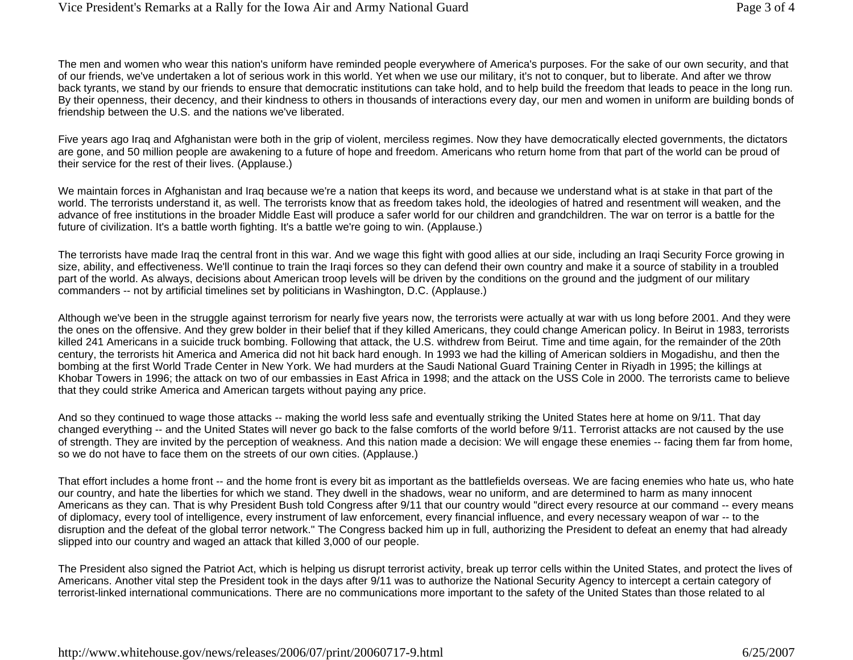The men and women who wear this nation's uniform have reminded people everywhere of America's purposes. For the sake of our own security, and that of our friends, we've undertaken a lot of serious work in this world. Yet when we use our military, it's not to conquer, but to liberate. And after we throw back tyrants, we stand by our friends to ensure that democratic institutions can take hold, and to help build the freedom that leads to peace in the long run. By their openness, their decency, and their kindness to others in thousands of interactions every day, our men and women in uniform are building bonds of friendship between the U.S. and the nations we've liberated.

Five years ago Iraq and Afghanistan were both in the grip of violent, merciless regimes. Now they have democratically elected governments, the dictators are gone, and 50 million people are awakening to a future of hope and freedom. Americans who return home from that part of the world can be proud of their service for the rest of their lives. (Applause.)

We maintain forces in Afghanistan and Iraq because we're a nation that keeps its word, and because we understand what is at stake in that part of the world. The terrorists understand it, as well. The terrorists know that as freedom takes hold, the ideologies of hatred and resentment will weaken, and the advance of free institutions in the broader Middle East will produce a safer world for our children and grandchildren. The war on terror is a battle for the future of civilization. It's a battle worth fighting. It's a battle we're going to win. (Applause.)

The terrorists have made Iraq the central front in this war. And we wage this fight with good allies at our side, including an Iraqi Security Force growing in size, ability, and effectiveness. We'll continue to train the Iraqi forces so they can defend their own country and make it a source of stability in a troubled part of the world. As always, decisions about American troop levels will be driven by the conditions on the ground and the judgment of our military commanders -- not by artificial timelines set by politicians in Washington, D.C. (Applause.)

Although we've been in the struggle against terrorism for nearly five years now, the terrorists were actually at war with us long before 2001. And they were the ones on the offensive. And they grew bolder in their belief that if they killed Americans, they could change American policy. In Beirut in 1983, terrorists killed 241 Americans in a suicide truck bombing. Following that attack, the U.S. withdrew from Beirut. Time and time again, for the remainder of the 20th century, the terrorists hit America and America did not hit back hard enough. In 1993 we had the killing of American soldiers in Mogadishu, and then the bombing at the first World Trade Center in New York. We had murders at the Saudi National Guard Training Center in Riyadh in 1995; the killings at Khobar Towers in 1996; the attack on two of our embassies in East Africa in 1998; and the attack on the USS Cole in 2000. The terrorists came to believe that they could strike America and American targets without paying any price.

And so they continued to wage those attacks -- making the world less safe and eventually striking the United States here at home on 9/11. That day changed everything -- and the United States will never go back to the false comforts of the world before 9/11. Terrorist attacks are not caused by the use of strength. They are invited by the perception of weakness. And this nation made a decision: We will engage these enemies -- facing them far from home, so we do not have to face them on the streets of our own cities. (Applause.)

That effort includes a home front -- and the home front is every bit as important as the battlefields overseas. We are facing enemies who hate us, who hate our country, and hate the liberties for which we stand. They dwell in the shadows, wear no uniform, and are determined to harm as many innocent Americans as they can. That is why President Bush told Congress after 9/11 that our country would "direct every resource at our command -- every means of diplomacy, every tool of intelligence, every instrument of law enforcement, every financial influence, and every necessary weapon of war -- to the disruption and the defeat of the global terror network." The Congress backed him up in full, authorizing the President to defeat an enemy that had already slipped into our country and waged an attack that killed 3,000 of our people.

The President also signed the Patriot Act, which is helping us disrupt terrorist activity, break up terror cells within the United States, and protect the lives of Americans. Another vital step the President took in the days after 9/11 was to authorize the National Security Agency to intercept a certain category of terrorist-linked international communications. There are no communications more important to the safety of the United States than those related to al